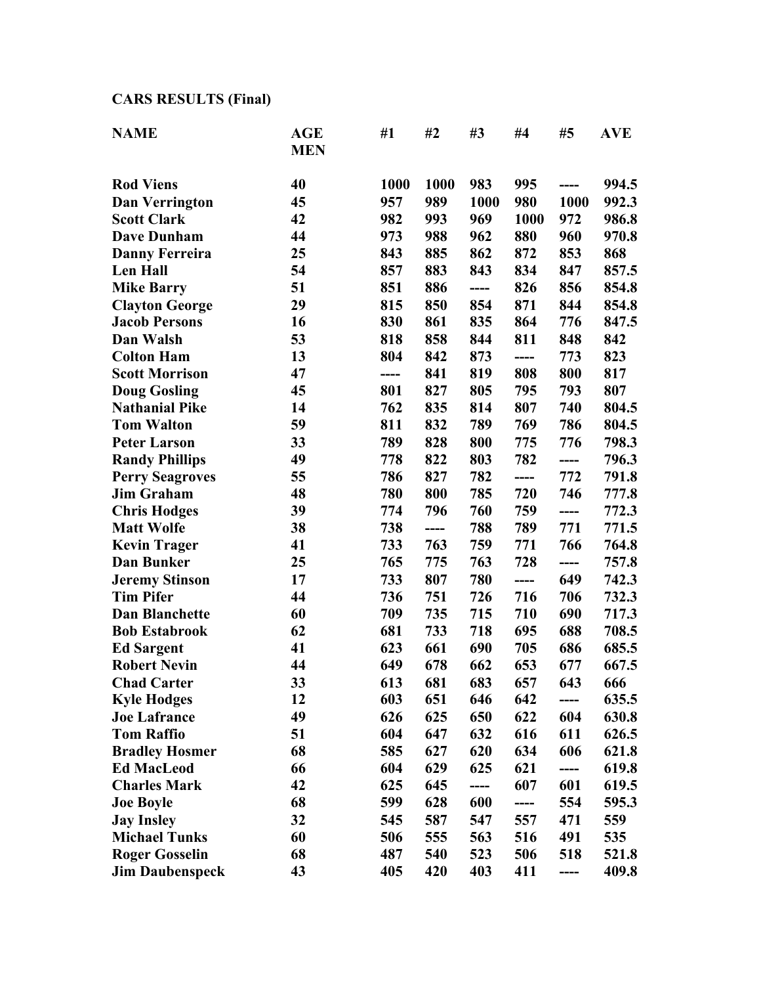## **CARS RESULTS (Final)**

| <b>NAME</b>            | <b>AGE</b><br><b>MEN</b> | #1   | #2   | #3   | #4   | #5   | <b>AVE</b> |
|------------------------|--------------------------|------|------|------|------|------|------------|
|                        |                          |      |      |      |      |      |            |
| <b>Rod Viens</b>       | 40                       | 1000 | 1000 | 983  | 995  | ---- | 994.5      |
| <b>Dan Verrington</b>  | 45                       | 957  | 989  | 1000 | 980  | 1000 | 992.3      |
| <b>Scott Clark</b>     | 42                       | 982  | 993  | 969  | 1000 | 972  | 986.8      |
| <b>Dave Dunham</b>     | 44                       | 973  | 988  | 962  | 880  | 960  | 970.8      |
| <b>Danny Ferreira</b>  | 25                       | 843  | 885  | 862  | 872  | 853  | 868        |
| Len Hall               | 54                       | 857  | 883  | 843  | 834  | 847  | 857.5      |
| <b>Mike Barry</b>      | 51                       | 851  | 886  | ---- | 826  | 856  | 854.8      |
| <b>Clayton George</b>  | 29                       | 815  | 850  | 854  | 871  | 844  | 854.8      |
| <b>Jacob Persons</b>   | 16                       | 830  | 861  | 835  | 864  | 776  | 847.5      |
| Dan Walsh              | 53                       | 818  | 858  | 844  | 811  | 848  | 842        |
| <b>Colton Ham</b>      | 13                       | 804  | 842  | 873  | ---- | 773  | 823        |
| <b>Scott Morrison</b>  | 47                       | ---- | 841  | 819  | 808  | 800  | 817        |
| <b>Doug Gosling</b>    | 45                       | 801  | 827  | 805  | 795  | 793  | 807        |
| <b>Nathanial Pike</b>  | 14                       | 762  | 835  | 814  | 807  | 740  | 804.5      |
| <b>Tom Walton</b>      | 59                       | 811  | 832  | 789  | 769  | 786  | 804.5      |
| <b>Peter Larson</b>    | 33                       | 789  | 828  | 800  | 775  | 776  | 798.3      |
| <b>Randy Phillips</b>  | 49                       | 778  | 822  | 803  | 782  | ---- | 796.3      |
| <b>Perry Seagroves</b> | 55                       | 786  | 827  | 782  | ---- | 772  | 791.8      |
| <b>Jim Graham</b>      | 48                       | 780  | 800  | 785  | 720  | 746  | 777.8      |
| <b>Chris Hodges</b>    | 39                       | 774  | 796  | 760  | 759  | ---- | 772.3      |
| <b>Matt Wolfe</b>      | 38                       | 738  | ---- | 788  | 789  | 771  | 771.5      |
| <b>Kevin Trager</b>    | 41                       | 733  | 763  | 759  | 771  | 766  | 764.8      |
| Dan Bunker             | 25                       | 765  | 775  | 763  | 728  | ---- | 757.8      |
| <b>Jeremy Stinson</b>  | 17                       | 733  | 807  | 780  | ---- | 649  | 742.3      |
| <b>Tim Pifer</b>       | 44                       | 736  | 751  | 726  | 716  | 706  | 732.3      |
| <b>Dan Blanchette</b>  | 60                       | 709  | 735  | 715  | 710  | 690  | 717.3      |
| <b>Bob Estabrook</b>   | 62                       | 681  | 733  | 718  | 695  | 688  | 708.5      |
| <b>Ed Sargent</b>      | 41                       | 623  | 661  | 690  | 705  | 686  | 685.5      |
| <b>Robert Nevin</b>    | 44                       | 649  | 678  | 662  | 653  | 677  | 667.5      |
| <b>Chad Carter</b>     | 33                       | 613  | 681  | 683  | 657  | 643  | 666        |
| <b>Kyle Hodges</b>     | 12                       | 603  | 651  | 646  | 642  | ---- | 635.5      |
| <b>Joe Lafrance</b>    | 49                       | 626  | 625  | 650  | 622  | 604  | 630.8      |
| <b>Tom Raffio</b>      | 51                       | 604  | 647  | 632  | 616  | 611  | 626.5      |
| <b>Bradley Hosmer</b>  | 68                       | 585  | 627  | 620  | 634  | 606  | 621.8      |
| <b>Ed MacLeod</b>      | 66                       | 604  | 629  | 625  | 621  | ---- | 619.8      |
| <b>Charles Mark</b>    | 42                       | 625  | 645  | ---- | 607  | 601  | 619.5      |
| <b>Joe Boyle</b>       | 68                       | 599  | 628  | 600  | ---- | 554  | 595.3      |
| <b>Jay Insley</b>      | 32                       | 545  | 587  | 547  | 557  | 471  | 559        |
| <b>Michael Tunks</b>   | 60                       | 506  | 555  | 563  | 516  | 491  | 535        |
| <b>Roger Gosselin</b>  | 68                       | 487  | 540  | 523  | 506  | 518  | 521.8      |
| <b>Jim Daubenspeck</b> | 43                       | 405  | 420  | 403  | 411  | ---- | 409.8      |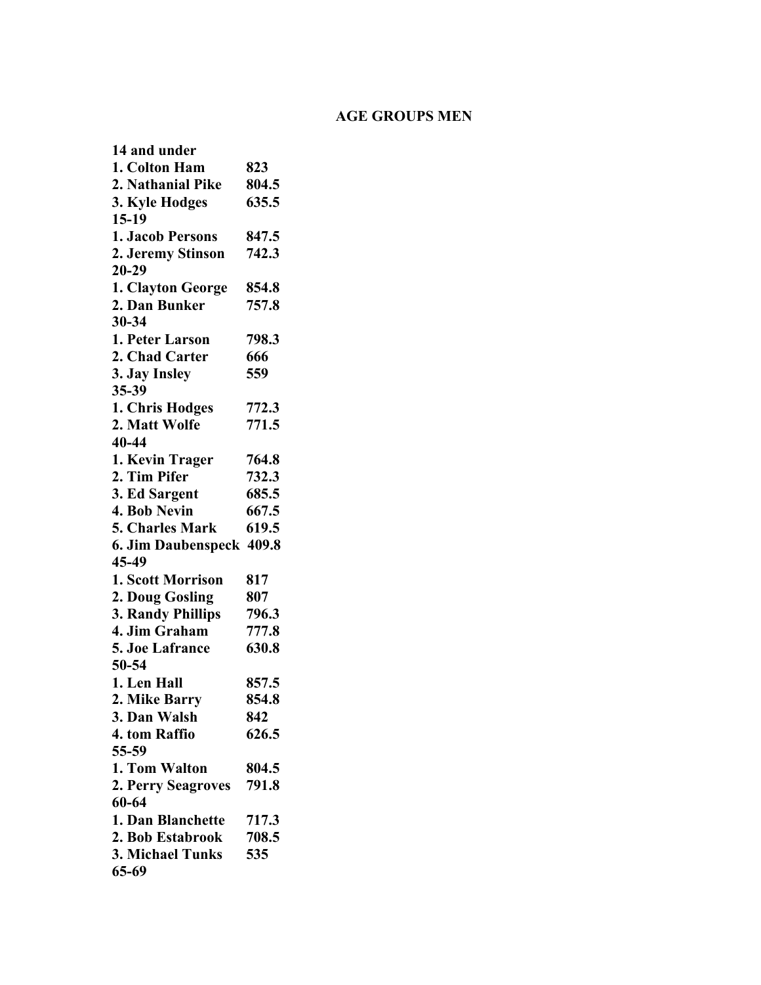#### **AGE GROUPS MEN**

**14 and under 1. Colton Ham 823 2. Nathanial Pike 804.5 3. Kyle Hodges 635.5 15-19 1. Jacob Persons 847.5 2. Jeremy Stinson 742.3 20-29 1. Clayton George 854.8 2. Dan Bunker 757.8 30-34 1. Peter Larson 798.3 2. Chad Carter 666 3. Jay Insley 559 35-39 1. Chris Hodges 772.3 2. Matt Wolfe 771.5 40-44 1. Kevin Trager 764.8 2. Tim Pifer 732.3 3. Ed Sargent 685.5 4. Bob Nevin 667.5 5. Charles Mark 619.5 6. Jim Daubenspeck 409.8 45-49 1. Scott Morrison 817 2. Doug Gosling 807 3. Randy Phillips 796.3 4. Jim Graham 777.8 5. Joe Lafrance 630.8 50-54 1. Len Hall 857.5 2. Mike Barry 854.8 3. Dan Walsh 842 4. tom Raffio 626.5 55-59 1. Tom Walton 804.5 2. Perry Seagroves 791.8 60-64 1. Dan Blanchette 717.3 2. Bob Estabrook 708.5 3. Michael Tunks 535 65-69**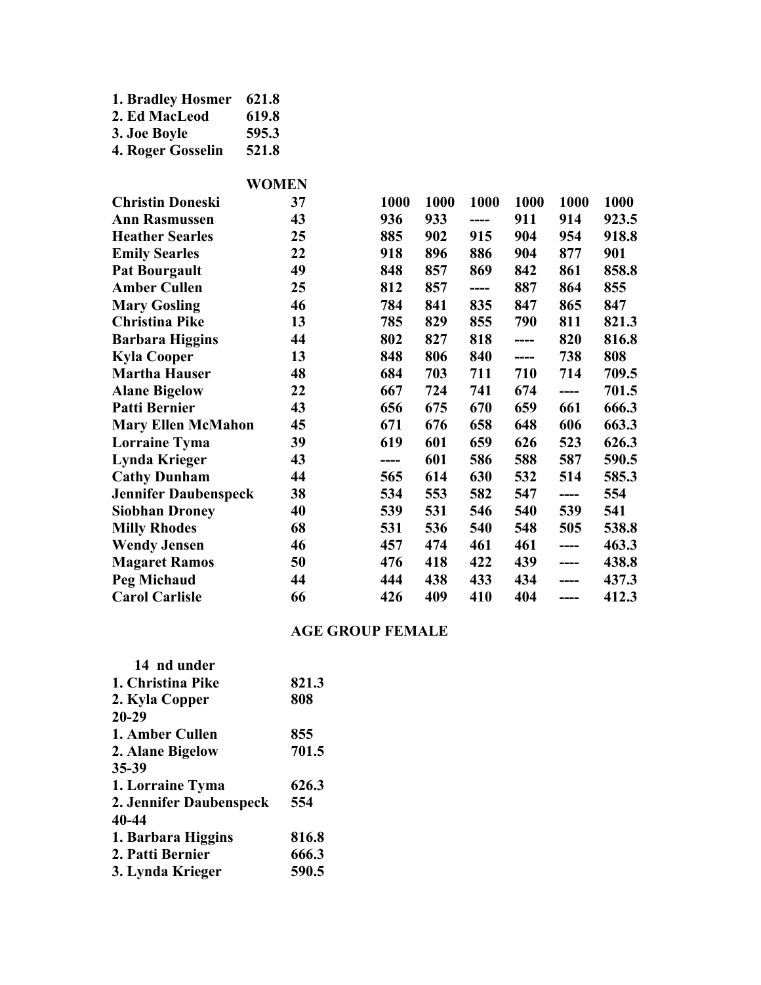| 1. Bradley Hosmer | 621.8 |
|-------------------|-------|
| 2. Ed MacLeod     | 619.8 |
| 3. Joe Boyle      | 595.3 |
| 4. Roger Gosselin | 521.8 |

|                             | <b>WOMEN</b> |      |      |      |      |      |       |
|-----------------------------|--------------|------|------|------|------|------|-------|
| <b>Christin Doneski</b>     | 37           | 1000 | 1000 | 1000 | 1000 | 1000 | 1000  |
| <b>Ann Rasmussen</b>        | 43           | 936  | 933  | ---- | 911  | 914  | 923.5 |
| <b>Heather Searles</b>      | 25           | 885  | 902  | 915  | 904  | 954  | 918.8 |
| <b>Emily Searles</b>        | 22           | 918  | 896  | 886  | 904  | 877  | 901   |
| <b>Pat Bourgault</b>        | 49           | 848  | 857  | 869  | 842  | 861  | 858.8 |
| <b>Amber Cullen</b>         | 25           | 812  | 857  | ---- | 887  | 864  | 855   |
| <b>Mary Gosling</b>         | 46           | 784  | 841  | 835  | 847  | 865  | 847   |
| <b>Christina Pike</b>       | 13           | 785  | 829  | 855  | 790  | 811  | 821.3 |
| <b>Barbara Higgins</b>      | 44           | 802  | 827  | 818  | ---- | 820  | 816.8 |
| <b>Kyla Cooper</b>          | 13           | 848  | 806  | 840  | ---- | 738  | 808   |
| <b>Martha Hauser</b>        | 48           | 684  | 703  | 711  | 710  | 714  | 709.5 |
| <b>Alane Bigelow</b>        | 22           | 667  | 724  | 741  | 674  | ---- | 701.5 |
| <b>Patti Bernier</b>        | 43           | 656  | 675  | 670  | 659  | 661  | 666.3 |
| <b>Mary Ellen McMahon</b>   | 45           | 671  | 676  | 658  | 648  | 606  | 663.3 |
| <b>Lorraine Tyma</b>        | 39           | 619  | 601  | 659  | 626  | 523  | 626.3 |
| <b>Lynda Krieger</b>        | 43           | ---- | 601  | 586  | 588  | 587  | 590.5 |
| <b>Cathy Dunham</b>         | 44           | 565  | 614  | 630  | 532  | 514  | 585.3 |
| <b>Jennifer Daubenspeck</b> | 38           | 534  | 553  | 582  | 547  | ---- | 554   |
| <b>Siobhan Droney</b>       | 40           | 539  | 531  | 546  | 540  | 539  | 541   |
| <b>Milly Rhodes</b>         | 68           | 531  | 536  | 540  | 548  | 505  | 538.8 |
| <b>Wendy Jensen</b>         | 46           | 457  | 474  | 461  | 461  | ---- | 463.3 |
| <b>Magaret Ramos</b>        | 50           | 476  | 418  | 422  | 439  | ---- | 438.8 |
| <b>Peg Michaud</b>          | 44           | 444  | 438  | 433  | 434  | ---- | 437.3 |
| <b>Carol Carlisle</b>       | 66           | 426  | 409  | 410  | 404  | ---- | 412.3 |

#### **AGE GROUP FEMALE**

| 821.3 |
|-------|
| 808   |
|       |
| 855   |
| 701.5 |
|       |
| 626.3 |
| 554   |
|       |
| 816.8 |
| 666.3 |
| 590.5 |
|       |